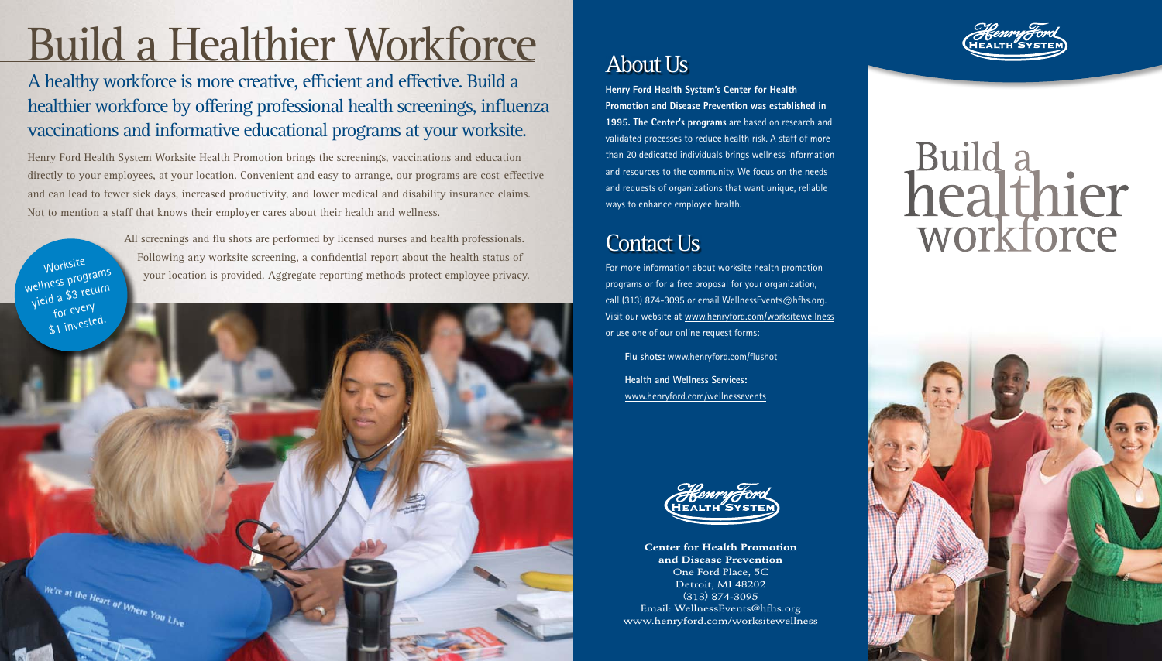**Center for Health Promotion and Disease Prevention** One Ford Place, 5C Detroit, MI 48202 (313) 874-3095 Email: WellnessEvents@hfhs.org www.henryford.com/worksitewellness



# Build a<br>healthier<br>workforce



## Build a Healthier Workforce

A healthy workforce is more creative, efficient and effective. Build a healthier workforce by offering professional health screenings, influenza vaccinations and informative educational programs at your worksite.

All screenings and flu shots are performed by licensed nurses and health professionals. Following any worksite screening, a confidential report about the health status of Worksite<br>your location is provided. Aggregate reporting methods protect employee privacy.

wellness programs yield a \$3 return for every

Henry Ford Health System Worksite Health Promotion brings the screenings, vaccinations and education directly to your employees, at your location. Convenient and easy to arrange, our programs are cost-effective and can lead to fewer sick days, increased productivity, and lower medical and disability insurance claims. Not to mention a staff that knows their employer cares about their health and wellness.



#### About Us

**Henry Ford Health System's Center for Health Promotion and Disease Prevention was established in 1995. The Center's programs** are based on research and validated processes to reduce health risk. A staff of more than 20 dedicated individuals brings wellness information and resources to the community. We focus on the needs and requests of organizations that want unique, reliable ways to enhance employee health.

For more information about worksite health promotion programs or for a free proposal for your organization, call (313) 874-3095 or email WellnessEvents@hfhs.org. Visit our website at www.henryford.com/worksitewellness or use one of our online request forms:

**Flu shots:** www.henryford.com/flushot

**Health and Wellness Services:** www.henryford.com/wellnessevents



#### Contact Us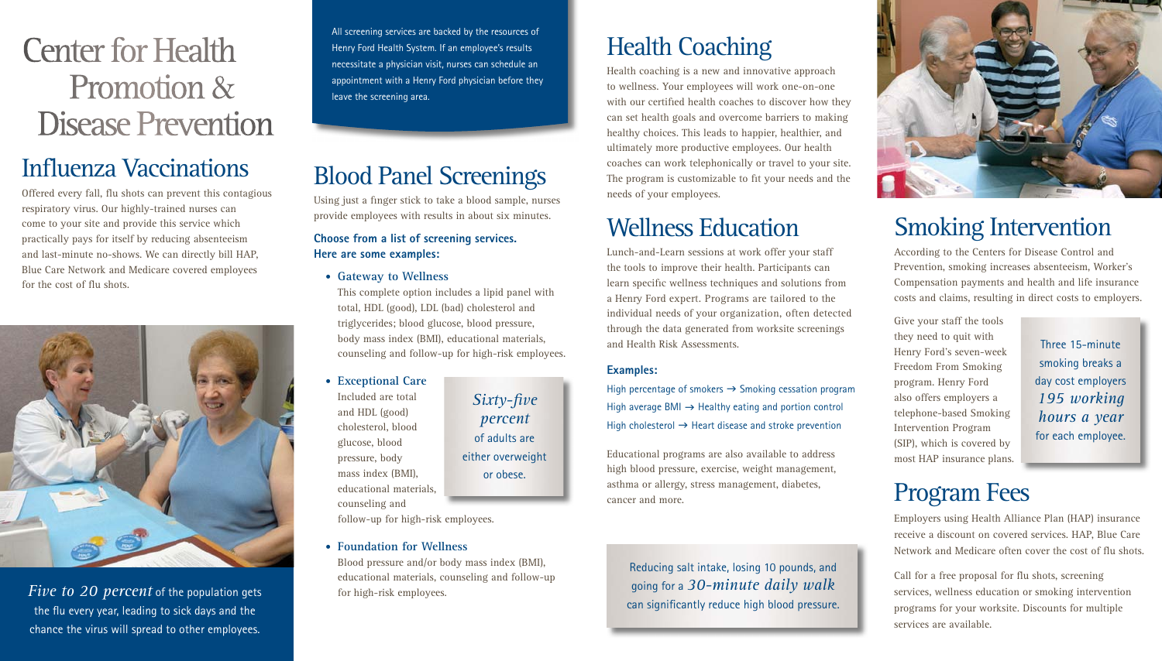## Health Coaching

Health coaching is a new and innovative approach to wellness. Your employees will work one-on-one with our certified health coaches to discover how they can set health goals and overcome barriers to making healthy choices. This leads to happier, healthier, and ultimately more productive employees. Our health coaches can work telephonically or travel to your site. The program is customizable to fit your needs and the needs of your employees.

## Wellness Education

Lunch-and-Learn sessions at work offer your staff the tools to improve their health. Participants can learn specific wellness techniques and solutions from a Henry Ford expert. Programs are tailored to the individual needs of your organization, often detected through the data generated from worksite screenings and Health Risk Assessments.

#### **Examples:**

High percentage of smokers  $\rightarrow$  Smoking cessation program High average BMI  $\rightarrow$  Healthy eating and portion control High cholesterol  $\rightarrow$  Heart disease and stroke prevention

Educational programs are also available to address high blood pressure, exercise, weight management, asthma or allergy, stress management, diabetes, cancer and more.

## Center for Health Promotion & Disease Prevention

#### Influenza Vaccinations

Offered every fall, flu shots can prevent this contagious respiratory virus. Our highly-trained nurses can come to your site and provide this service which practically pays for itself by reducing absenteeism and last-minute no-shows. We can directly bill HAP, Blue Care Network and Medicare covered employees for the cost of flu shots.



### Blood Panel Screenings

Using just a finger stick to take a blood sample, nurses provide employees with results in about six minutes.

#### **Choose from a list of screening services. Here are some examples:**

• **Gateway to Wellness**

This complete option includes a lipid panel with total, HDL (good), LDL (bad) cholesterol and triglycerides; blood glucose, blood pressure, body mass index (BMI), educational materials, counseling and follow-up for high-risk employees.

*Five to 20 percent* of the population gets the flu every year, leading to sick days and the chance the virus will spread to other employees.

• **Exceptional Care**

Included are total and HDL (good) cholesterol, blood glucose, blood pressure, body mass index (BMI), educational materials, counseling and

follow-up for high-risk employees.

#### • **Foundation for Wellness**

Blood pressure and/or body mass index (BMI), educational materials, counseling and follow-up for high-risk employees.

#### Smoking Intervention

According to the Centers for Disease Control and Prevention, smoking increases absenteeism, Worker's Compensation payments and health and life insurance costs and claims, resulting in direct costs to employers.

Give your staff the tools they need to quit with Henry Ford's seven-week Freedom From Smoking program. Henry Ford also offers employers a telephone-based Smoking Intervention Program (SIP), which is covered by most HAP insurance plans.

#### Program Fees

Employers using Health Alliance Plan (HAP) insurance receive a discount on covered services. HAP, Blue Care Network and Medicare often cover the cost of flu shots.



Call for a free proposal for flu shots, screening services, wellness education or smoking intervention programs for your worksite. Discounts for multiple services are available.

All screening services are backed by the resources of Henry Ford Health System. If an employee's results necessitate a physician visit, nurses can schedule an appointment with a Henry Ford physician before they leave the screening area.

> *Sixty-five percent* of adults are either overweight or obese.

> > Reducing salt intake, losing 10 pounds, and going for a *30-minute daily walk* can significantly reduce high blood pressure.



Three 15-minute smoking breaks a day cost employers *195 working hours a year* for each employee.